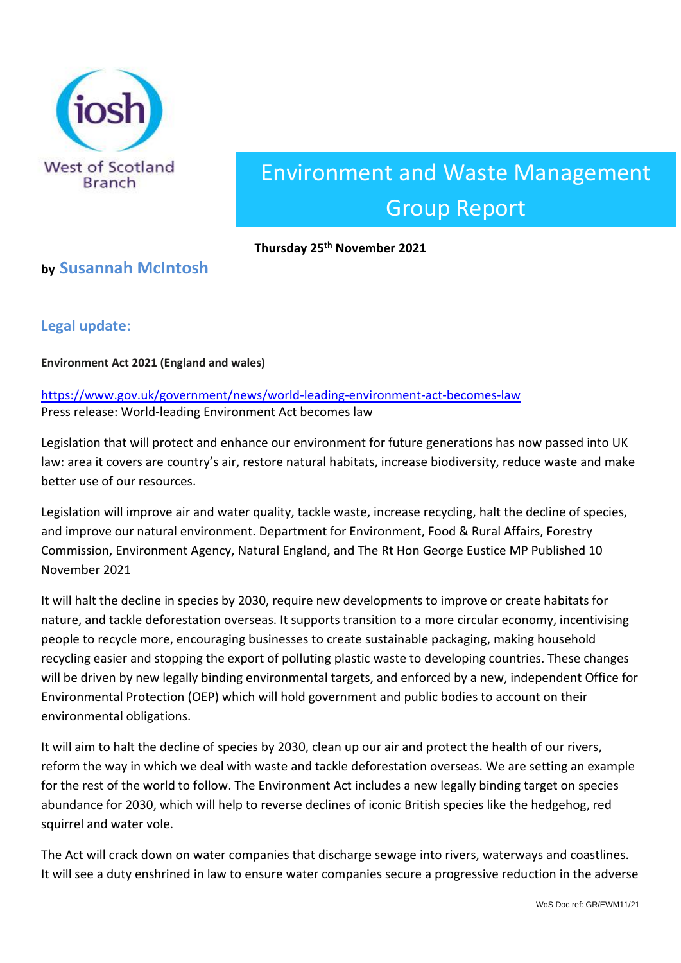

# Environment and Waste Management Group Report

#### **Thursday 25th November 2021**

## **by Susannah McIntosh**

## **Legal update:**

**Environment Act 2021 (England and wales)**

[https://www.gov.uk/government/news/world-leading-environment-act-becomes-law](https://emea01.safelinks.protection.outlook.com/?url=https%3A%2F%2Fwww.gov.uk%2Fgovernment%2Fnews%2Fworld-leading-environment-act-becomes-law&data=04%7C01%7C%7C0c8d619ca73a4950e57d08d9a76c09c7%7C84df9e7fe9f640afb435aaaaaaaaaaaa%7C1%7C0%7C637724904734655509%7CUnknown%7CTWFpbGZsb3d8eyJWIjoiMC4wLjAwMDAiLCJQIjoiV2luMzIiLCJBTiI6Ik1haWwiLCJXVCI6Mn0%3D%7C1000&sdata=PaJpDnnHij7WU9%2BI0aTnEEh3gKiFQa%2BrJlccKMVOYZ4%3D&reserved=0) Press release: World-leading Environment Act becomes law

Legislation that will protect and enhance our environment for future generations has now passed into UK law: area it covers are country's air, restore natural habitats, increase biodiversity, reduce waste and make better use of our resources.

Legislation will improve air and water quality, tackle waste, increase recycling, halt the decline of species, and improve our natural environment. Department for Environment, Food & Rural Affairs, Forestry Commission, Environment Agency, Natural England, and The Rt Hon George Eustice MP Published 10 November 2021

It will halt the decline in species by 2030, require new developments to improve or create habitats for nature, and tackle deforestation overseas. It supports transition to a more circular economy, incentivising people to recycle more, encouraging businesses to create sustainable packaging, making household recycling easier and stopping the export of polluting plastic waste to developing countries. These changes will be driven by new legally binding environmental targets, and enforced by a new, independent Office for Environmental Protection (OEP) which will hold government and public bodies to account on their environmental obligations.

It will aim to halt the decline of species by 2030, clean up our air and protect the health of our rivers, reform the way in which we deal with waste and tackle deforestation overseas. We are setting an example for the rest of the world to follow. The Environment Act includes a new legally binding target on species abundance for 2030, which will help to reverse declines of iconic British species like the hedgehog, red squirrel and water vole.

The Act will crack down on water companies that discharge sewage into rivers, waterways and coastlines. It will see a duty enshrined in law to ensure water companies secure a progressive reduction in the adverse